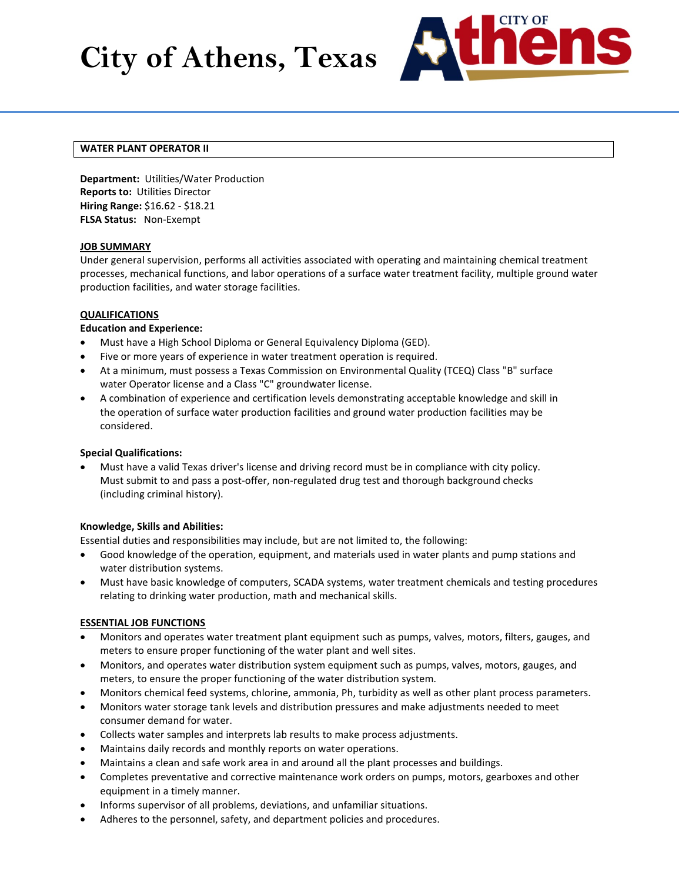# **City of Athens, Texas**



# **WATER PLANT OPERATOR II**

**Department:** Utilities/Water Production **Reports to:** Utilities Director **Hiring Range:** \$16.62 - \$18.21 **FLSA Status:** Non-Exempt

## **JOB SUMMARY**

Under general supervision, performs all activities associated with operating and maintaining chemical treatment processes, mechanical functions, and labor operations of a surface water treatment facility, multiple ground water production facilities, and water storage facilities.

## **QUALIFICATIONS**

## **Education and Experience:**

- Must have a High School Diploma or General Equivalency Diploma (GED).
- Five or more years of experience in water treatment operation is required.
- At a minimum, must possess a Texas Commission on Environmental Quality (TCEQ) Class "B" surface water Operator license and a Class "C" groundwater license.
- A combination of experience and certification levels demonstrating acceptable knowledge and skill in the operation of surface water production facilities and ground water production facilities may be considered.

#### **Special Qualifications:**

• Must have a valid Texas driver's license and driving record must be in compliance with city policy. Must submit to and pass a post-offer, non-regulated drug test and thorough background checks (including criminal history).

#### **Knowledge, Skills and Abilities:**

Essential duties and responsibilities may include, but are not limited to, the following:

- Good knowledge of the operation, equipment, and materials used in water plants and pump stations and water distribution systems.
- Must have basic knowledge of computers, SCADA systems, water treatment chemicals and testing procedures relating to drinking water production, math and mechanical skills.

# **ESSENTIAL JOB FUNCTIONS**

- Monitors and operates water treatment plant equipment such as pumps, valves, motors, filters, gauges, and meters to ensure proper functioning of the water plant and well sites.
- Monitors, and operates water distribution system equipment such as pumps, valves, motors, gauges, and meters, to ensure the proper functioning of the water distribution system.
- Monitors chemical feed systems, chlorine, ammonia, Ph, turbidity as well as other plant process parameters.
- Monitors water storage tank levels and distribution pressures and make adjustments needed to meet consumer demand for water.
- Collects water samples and interprets lab results to make process adjustments.
- Maintains daily records and monthly reports on water operations.
- Maintains a clean and safe work area in and around all the plant processes and buildings.
- Completes preventative and corrective maintenance work orders on pumps, motors, gearboxes and other equipment in a timely manner.
- Informs supervisor of all problems, deviations, and unfamiliar situations.
- Adheres to the personnel, safety, and department policies and procedures.